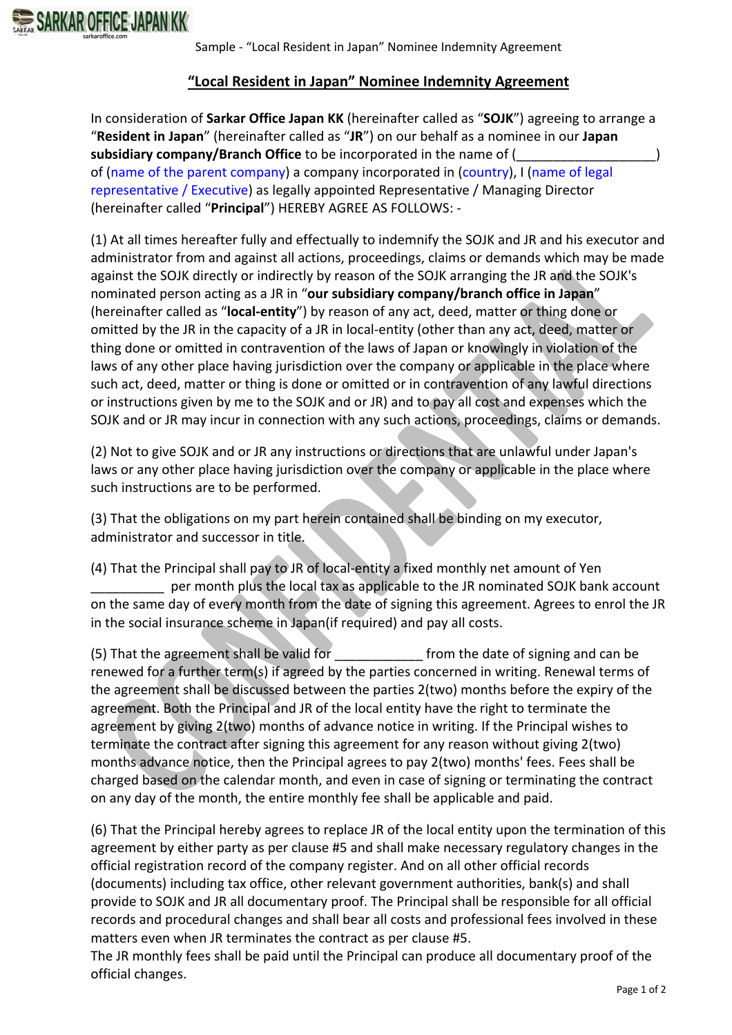

## **"Local Resident in Japan" Nominee Indemnity Agreement**

In consideration of **Sarkar Office Japan KK** (hereinafter called as "**SOJK**") agreeing to arrange a "**Resident in Japan**" (hereinafter called as "**JR**") on our behalf as a nominee in our **Japan**  subsidiary company/Branch Office to be incorporated in the name of ( of (name of the parent company) a company incorporated in (country), I (name of legal representative / Executive) as legally appointed Representative / Managing Director (hereinafter called "**Principal**") HEREBY AGREE AS FOLLOWS: -

(1) At all times hereafter fully and effectually to indemnify the SOJK and JR and his executor and administrator from and against all actions, proceedings, claims or demands which may be made against the SOJK directly or indirectly by reason of the SOJK arranging the JR and the SOJK's nominated person acting as a JR in "**our subsidiary company/branch office in Japan**" (hereinafter called as "**local-entity**") by reason of any act, deed, matter or thing done or omitted by the JR in the capacity of a JR in local-entity (other than any act, deed, matter or thing done or omitted in contravention of the laws of Japan or knowingly in violation of the laws of any other place having jurisdiction over the company or applicable in the place where such act, deed, matter or thing is done or omitted or in contravention of any lawful directions or instructions given by me to the SOJK and or JR) and to pay all cost and expenses which the SOJK and or JR may incur in connection with any such actions, proceedings, claims or demands.

(2) Not to give SOJK and or JR any instructions or directions that are unlawful under Japan's laws or any other place having jurisdiction over the company or applicable in the place where such instructions are to be performed.

(3) That the obligations on my part herein contained shall be binding on my executor, administrator and successor in title.

(4) That the Principal shall pay to JR of local-entity a fixed monthly net amount of Yen per month plus the local tax as applicable to the JR nominated SOJK bank account on the same day of every month from the date of signing this agreement. Agrees to enrol the JR in the social insurance scheme in Japan(if required) and pay all costs.

(5) That the agreement shall be valid for \_\_\_\_\_\_\_\_\_\_\_\_ from the date of signing and can be renewed for a further term(s) if agreed by the parties concerned in writing. Renewal terms of the agreement shall be discussed between the parties 2(two) months before the expiry of the agreement. Both the Principal and JR of the local entity have the right to terminate the agreement by giving 2(two) months of advance notice in writing. If the Principal wishes to terminate the contract after signing this agreement for any reason without giving 2(two) months advance notice, then the Principal agrees to pay 2(two) months' fees. Fees shall be charged based on the calendar month, and even in case of signing or terminating the contract on any day of the month, the entire monthly fee shall be applicable and paid.

(6) That the Principal hereby agrees to replace JR of the local entity upon the termination of this agreement by either party as per clause #5 and shall make necessary regulatory changes in the official registration record of the company register. And on all other official records (documents) including tax office, other relevant government authorities, bank(s) and shall provide to SOJK and JR all documentary proof. The Principal shall be responsible for all official records and procedural changes and shall bear all costs and professional fees involved in these matters even when JR terminates the contract as per clause #5.

The JR monthly fees shall be paid until the Principal can produce all documentary proof of the official changes.